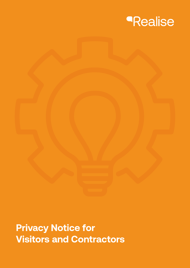

# **Privacy Notice for Visitors and Contractors**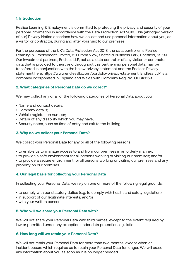# **1. Introduction**

Realise Learning & Employment is committed to protecting the privacy and security of your personal information in accordance with the Data Protection Act 2018. This (abridged version of our) Privacy Notice describes how we collect and use personal information about you, as a visitor or contractor, during and after your visit to our premises.

For the purposes of the UK's Data Protection Act 2018, the data controller is Realise Learning & Employment Limited, 12 Europa View, Sheffield Business Park, Sheffield, S9 1XH. Our investment partners, Endless LLP, act as a data controller of any visitor or contractor data that is provided to them, and throughout this partnership personal data may be transferred in conjunction with the below privacy statement and the Endless Privacy statement here: https://www.endlessllp.com/portfolio-privacy-statement. Endless LLP is a company incorporated in England and Wales with Company Reg. No. OC316569.

# **2. What categories of Personal Data do we collect?**

We may collect any or all of the following categories of Personal Data about you:

- Name and contact details;
- Company details;
- Vehicle registration number;
- Details of any disability which you may have;
- Security notes, such as time of entry and exit to the building.

## **3. Why do we collect your Personal Data?**

We collect your Personal Data for any or all of the following reasons:

- to enable us to manage access to and from our premises in an orderly manner;
- to provide a safe environment for all persons working or visiting our premises; and/or

• to provide a secure environment for all persons working or visiting our premises and any property on our premises.

## **4. Our legal basis for collecting your Personal Data**

In collecting your Personal Data, we rely on one or more of the following legal grounds:

- to comply with our statutory duties (e.g. to comply with health and safety legislation);
- in support of our legitimate interests; and/or
- with your written consent.

## **5. Who will we share your Personal Data with?**

We will not share your Personal Data with third parties, except to the extent required by law or permitted under any exception under data protection legislation.

#### **6. How long will we retain your Personal Data?**

We will not retain your Personal Data for more than two months, except when an incident occurs which requires us to retain your Personal Data for longer. We will erase any information about you as soon as it is no longer needed.